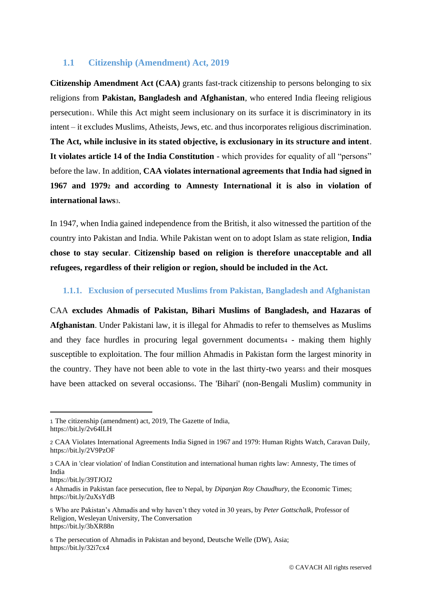### **1.1 Citizenship (Amendment) Act, 2019**

**Citizenship Amendment Act (CAA)** grants fast-track citizenship to persons belonging to six religions from **Pakistan, Bangladesh and Afghanistan**, who entered India fleeing religious persecution1. While this Act might seem inclusionary on its surface it is discriminatory in its intent – it excludes Muslims, Atheists, Jews, etc. and thus incorporates religious discrimination. **The Act, while inclusive in its stated objective, is exclusionary in its structure and intent**. **It violates article 14 of the India Constitution** - which provides for equality of all "persons" before the law. In addition, **CAA violates international agreements that India had signed in 1967 and 1979<sup>2</sup> and according to Amnesty International it is also in violation of international laws**3.

In 1947, when India gained independence from the British, it also witnessed the partition of the country into Pakistan and India. While Pakistan went on to adopt Islam as state religion, **India chose to stay secular**. **Citizenship based on religion is therefore unacceptable and all refugees, regardless of their religion or region, should be included in the Act.**

#### **1.1.1. Exclusion of persecuted Muslims from Pakistan, Bangladesh and Afghanistan**

CAA **excludes Ahmadis of Pakistan, Bihari Muslims of Bangladesh, and Hazaras of Afghanistan**. Under Pakistani law, it is illegal for Ahmadis to refer to themselves as Muslims and they face hurdles in procuring legal government documents4 - making them highly susceptible to exploitation. The four million Ahmadis in Pakistan form the largest minority in the country. They have not been able to vote in the last thirty-two yearss and their mosques have been attacked on several occasions. The 'Bihari' (non-Bengali Muslim) community in

<sup>1</sup> The citizenship (amendment) act, 2019, The Gazette of India, <https://bit.ly/2v64lLH>

<sup>2</sup> CAA Violates International Agreements India Signed in 1967 and 1979: Human Rights Watch, Caravan Daily, https://bit.ly/2V9PzOF

<sup>3</sup> CAA in 'clear violation' of Indian Constitution and international human rights law: Amnesty, The times of India

https://bit.ly/39TJOJ2

<sup>4</sup> Ahmadis in Pakistan face persecution, flee to Nepal, by *Dipanjan Roy Chaudhury,* the Economic Times; https://bit.ly/2uXsYdB

<sup>5</sup> Who are Pakistan's Ahmadis and why haven't they voted in 30 years, by *Peter Gottschalk,* Professor of Religion, Wesleyan University, The Conversation https://bit.ly/3bXR88n

<sup>6</sup> The persecution of Ahmadis in Pakistan and beyond, Deutsche Welle (DW), Asia; https://bit.ly/32i7cx4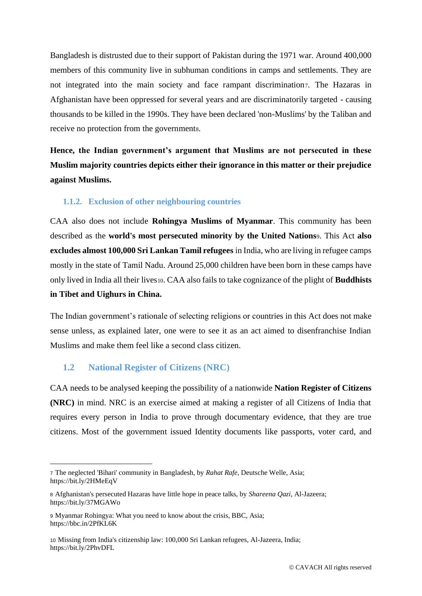Bangladesh is distrusted due to their support of Pakistan during the 1971 war. Around 400,000 members of this community live in subhuman conditions in camps and settlements. They are not integrated into the main society and face rampant discrimination7. The Hazaras in Afghanistan have been oppressed for several years and are discriminatorily targeted - causing thousands to be killed in the 1990s. They have been declared 'non-Muslims' by the Taliban and receive no protection from the government8.

**Hence, the Indian government's argument that Muslims are not persecuted in these Muslim majority countries depicts either their ignorance in this matter or their prejudice against Muslims.**

## **1.1.2. Exclusion of other neighbouring countries**

CAA also does not include **Rohingya Muslims of Myanmar**. This community has been described as the **world's most persecuted minority by the United Nations**9. This Act **also excludes almost 100,000 Sri Lankan Tamil refugees** in India, who are living in refugee camps mostly in the state of Tamil Nadu. Around 25,000 children have been born in these camps have only lived in India all their lives10. CAA also fails to take cognizance of the plight of **Buddhists in Tibet and Uighurs in China.**

The Indian government's rationale of selecting religions or countries in this Act does not make sense unless, as explained later, one were to see it as an act aimed to disenfranchise Indian Muslims and make them feel like a second class citizen.

#### **1.2 National Register of Citizens (NRC)**

CAA needs to be analysed keeping the possibility of a nationwide **Nation Register of Citizens (NRC)** in mind. NRC is an exercise aimed at making a register of all Citizens of India that requires every person in India to prove through documentary evidence, that they are true citizens. Most of the government issued Identity documents like passports, voter card, and

<sup>7</sup> The neglected 'Bihari' community in Bangladesh, by *Rahat Rafe*, Deutsche Welle, Asia; https://bit.ly/2HMeEqV

<sup>8</sup> Afghanistan's persecuted Hazaras have little hope in peace talks, by *Shareena Qazi*, Al-Jazeera; https://bit.ly/37MGAWo

<sup>9</sup> Myanmar Rohingya: What you need to know about the crisis, BBC, Asia; https://bbc.in/2PfKL6K

<sup>10</sup> Missing from India's citizenship law: 100,000 Sri Lankan refugees, Al-Jazeera, India; https://bit.ly/2PhvDFL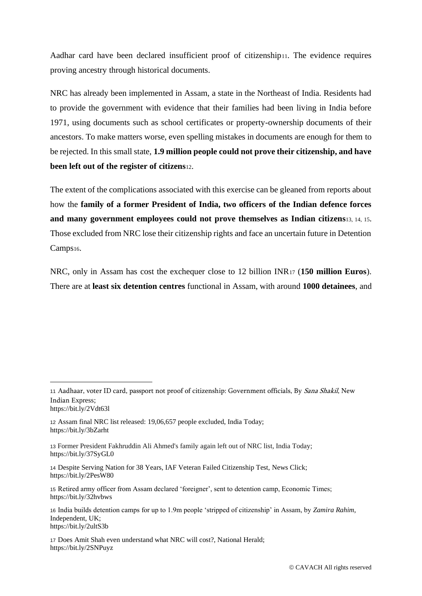Aadhar card have been declared insufficient proof of citizenship11. The evidence requires proving ancestry through historical documents.

NRC has already been implemented in Assam, a state in the Northeast of India. Residents had to provide the government with evidence that their families had been living in India before 1971, using documents such as school certificates or property-ownership documents of their ancestors. To make matters worse, even spelling mistakes in documents are enough for them to be rejected. In this small state, **1.9 million people could not prove their citizenship, and have been left out of the register of citizens**12.

The extent of the complications associated with this exercise can be gleaned from reports about how the **family of a former President of India, two officers of the Indian defence forces and many government employees could not prove themselves as Indian citizens**13, 14, 15. Those excluded from NRC lose their citizenship rights and face an uncertain future in Detention Camps16.

NRC, only in Assam has cost the exchequer close to 12 billion INR<sup>17</sup> (**150 million Euros**). There are at **least six detention centres** functional in Assam, with around **1000 detainees**, and

<sup>11</sup> Aadhaar, voter ID card, passport not proof of citizenship: Government officials, By Sana Shakil, New Indian Express; https://bit.ly/2Vdt63l

<sup>12</sup> Assam final NRC list released: 19,06,657 people excluded, India Today; https://bit.ly/3bZarht

<sup>13</sup> Former President Fakhruddin Ali Ahmed's family again left out of NRC list, India Today; https://bit.ly/37SyGL0

<sup>14</sup> Despite Serving Nation for 38 Years, IAF Veteran Failed Citizenship Test, News Click; https://bit.ly/2PesW80

<sup>15</sup> Retired army officer from Assam declared 'foreigner', sent to detention camp, Economic Times; https://bit.ly/32hvbws

<sup>16</sup> India builds detention camps for up to 1.9m people 'stripped of citizenship' in Assam, by *Zamira Rahim*, Independent, UK; https://bit.ly/2ultS3b

<sup>17</sup> Does Amit Shah even understand what NRC will cost?, National Herald; https://bit.ly/2SNPuyz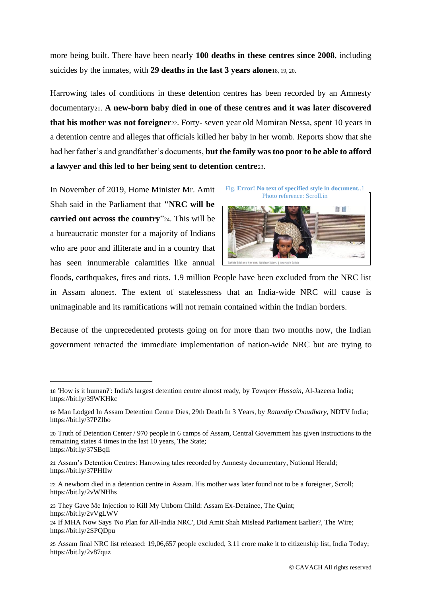more being built. There have been nearly **100 deaths in these centres since 2008**, including suicides by the inmates, with **29 deaths in the last 3 years alone**18, 19, 20.

Harrowing tales of conditions in these detention centres has been recorded by an Amnesty documentary21. **A new-born baby died in one of these centres and it was later discovered that his mother was not foreigner**22. Forty- seven year old Momiran Nessa, spent 10 years in a detention centre and alleges that officials killed her baby in her womb. Reports show that she had her father's and grandfather's documents, **but the family was too poor to be able to afford a lawyer and this led to her being sent to detention centre**23.

In November of 2019, Home Minister Mr. Amit Shah said in the Parliament that **''NRC will be carried out across the country**"24. This will be a bureaucratic monster for a majority of Indians who are poor and illiterate and in a country that has seen innumerable calamities like annual



floods, earthquakes, fires and riots. 1.9 million People have been excluded from the NRC list in Assam alone25. The extent of statelessness that an India-wide NRC will cause is unimaginable and its ramifications will not remain contained within the Indian borders.

Because of the unprecedented protests going on for more than two months now, the Indian government retracted the immediate implementation of nation-wide NRC but are trying to

<sup>18</sup> 'How is it human?': India's largest detention centre almost ready, by *Tawqeer Hussain*, Al-Jazeera India; https://bit.ly/39WKHkc

<sup>19</sup> Man Lodged In Assam Detention Centre Dies, 29th Death In 3 Years, by *Ratandip Choudhary*, NDTV India; https://bit.ly/37PZlbo

<sup>20</sup> Truth of Detention Center / 970 people in 6 camps of Assam, Central Government has given instructions to the remaining states 4 times in the last 10 years, The State; https://bit.ly/37SBqIi

<sup>21</sup> Assam's Detention Centres: Harrowing tales recorded by Amnesty documentary, National Herald; https://bit.ly/37PHIIw

<sup>22</sup> A newborn died in a detention centre in Assam. His mother was later found not to be a foreigner, Scroll; https://bit.ly/2vWNHhs

<sup>23</sup> They Gave Me Injection to Kill My Unborn Child: Assam Ex-Detainee, The Quint; https://bit.ly/2vVgLWV

<sup>24</sup> If MHA Now Says 'No Plan for All-India NRC', Did Amit Shah Mislead Parliament Earlier?, The Wire; https://bit.ly/2SPQDpu

<sup>25</sup> Assam final NRC list released: 19,06,657 people excluded, 3.11 crore make it to citizenship list, India Today; https://bit.ly/2v87quz